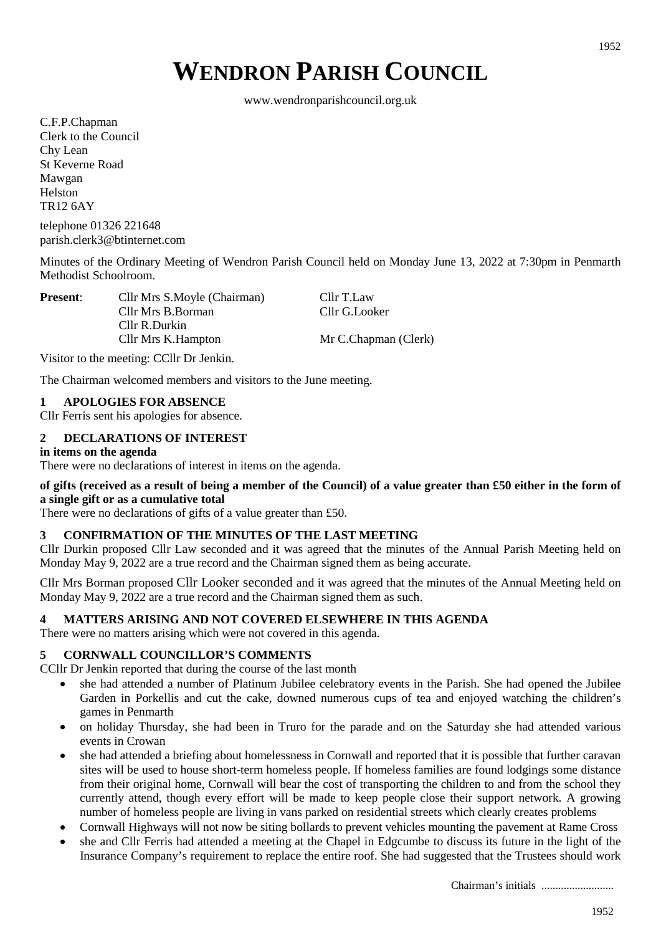# **WENDRON PARISH COUNCIL**

www.wendronparishcouncil.org.uk

C.F.P.Chapman Clerk to the Council Chy Lean St Keverne Road Mawgan Helston TR12 6AY

telephone 01326 221648 parish.clerk3@btinternet.com

Minutes of the Ordinary Meeting of Wendron Parish Council held on Monday June 13, 2022 at 7:30pm in Penmarth Methodist Schoolroom.

**Present:** Cllr Mrs S.Moyle (Chairman) Cllr T.Law Cllr Mrs B.Borman Cllr G.Looker Cllr R.Durkin Cllr Mrs K.Hampton Mr C.Chapman (Clerk)

Visitor to the meeting: CCllr Dr Jenkin.

The Chairman welcomed members and visitors to the June meeting.

# **1 APOLOGIES FOR ABSENCE**

Cllr Ferris sent his apologies for absence.

# **2 DECLARATIONS OF INTEREST**

#### **in items on the agenda**

There were no declarations of interest in items on the agenda.

# **of gifts (received as a result of being a member of the Council) of a value greater than £50 either in the form of a single gift or as a cumulative total**

There were no declarations of gifts of a value greater than £50.

# **3 CONFIRMATION OF THE MINUTES OF THE LAST MEETING**

Cllr Durkin proposed Cllr Law seconded and it was agreed that the minutes of the Annual Parish Meeting held on Monday May 9, 2022 are a true record and the Chairman signed them as being accurate.

Cllr Mrs Borman proposed Cllr Looker seconded and it was agreed that the minutes of the Annual Meeting held on Monday May 9, 2022 are a true record and the Chairman signed them as such.

# **4 MATTERS ARISING AND NOT COVERED ELSEWHERE IN THIS AGENDA**

There were no matters arising which were not covered in this agenda.

# **5 CORNWALL COUNCILLOR'S COMMENTS**

CCllr Dr Jenkin reported that during the course of the last month

- she had attended a number of Platinum Jubilee celebratory events in the Parish. She had opened the Jubilee Garden in Porkellis and cut the cake, downed numerous cups of tea and enjoyed watching the children's games in Penmarth
- on holiday Thursday, she had been in Truro for the parade and on the Saturday she had attended various events in Crowan
- she had attended a briefing about homelessness in Cornwall and reported that it is possible that further caravan sites will be used to house short-term homeless people. If homeless families are found lodgings some distance from their original home, Cornwall will bear the cost of transporting the children to and from the school they currently attend, though every effort will be made to keep people close their support network. A growing number of homeless people are living in vans parked on residential streets which clearly creates problems
- Cornwall Highways will not now be siting bollards to prevent vehicles mounting the pavement at Rame Cross
- she and Cllr Ferris had attended a meeting at the Chapel in Edgcumbe to discuss its future in the light of the Insurance Company's requirement to replace the entire roof. She had suggested that the Trustees should work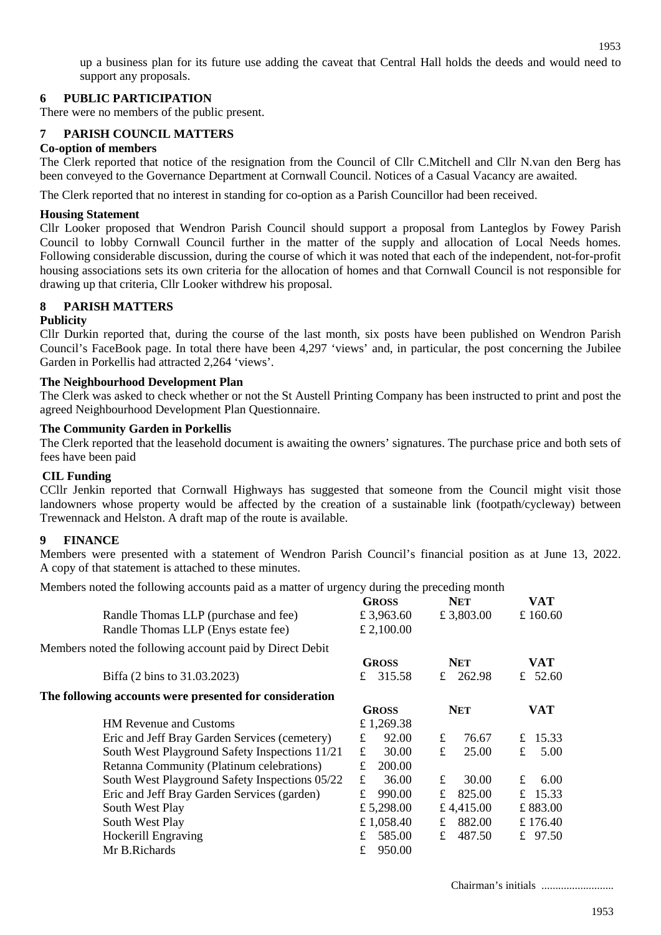up a business plan for its future use adding the caveat that Central Hall holds the deeds and would need to support any proposals.

# **6 PUBLIC PARTICIPATION**

There were no members of the public present.

# **7 PARISH COUNCIL MATTERS**

# **Co-option of members**

The Clerk reported that notice of the resignation from the Council of Cllr C.Mitchell and Cllr N.van den Berg has been conveyed to the Governance Department at Cornwall Council. Notices of a Casual Vacancy are awaited.

The Clerk reported that no interest in standing for co-option as a Parish Councillor had been received.

#### **Housing Statement**

Cllr Looker proposed that Wendron Parish Council should support a proposal from Lanteglos by Fowey Parish Council to lobby Cornwall Council further in the matter of the supply and allocation of Local Needs homes. Following considerable discussion, during the course of which it was noted that each of the independent, not-for-profit housing associations sets its own criteria for the allocation of homes and that Cornwall Council is not responsible for drawing up that criteria, Cllr Looker withdrew his proposal.

# **8 PARISH MATTERS**

#### **Publicity**

Cllr Durkin reported that, during the course of the last month, six posts have been published on Wendron Parish Council's FaceBook page. In total there have been 4,297 'views' and, in particular, the post concerning the Jubilee Garden in Porkellis had attracted 2,264 'views'.

#### **The Neighbourhood Development Plan**

The Clerk was asked to check whether or not the St Austell Printing Company has been instructed to print and post the agreed Neighbourhood Development Plan Questionnaire.

#### **The Community Garden in Porkellis**

The Clerk reported that the leasehold document is awaiting the owners' signatures. The purchase price and both sets of fees have been paid

# **CIL Funding**

CCllr Jenkin reported that Cornwall Highways has suggested that someone from the Council might visit those landowners whose property would be affected by the creation of a sustainable link (footpath/cycleway) between Trewennack and Helston. A draft map of the route is available.

# **9 FINANCE**

Members were presented with a statement of Wendron Parish Council's financial position as at June 13, 2022. A copy of that statement is attached to these minutes.

Members noted the following accounts paid as a matter of urgency during the preceding month

| $\frac{1}{2}$ and $\frac{1}{2}$ are total $\frac{1}{2}$ and $\frac{1}{2}$ and $\frac{1}{2}$ and $\frac{1}{2}$ and $\frac{1}{2}$ and $\frac{1}{2}$ and $\frac{1}{2}$ and $\frac{1}{2}$ and $\frac{1}{2}$ and $\frac{1}{2}$ and $\frac{1}{2}$ and $\frac{1}{2}$ and $\frac{1}{2}$ and $\frac{1$ |              |             |            |  |
|-----------------------------------------------------------------------------------------------------------------------------------------------------------------------------------------------------------------------------------------------------------------------------------------------|--------------|-------------|------------|--|
|                                                                                                                                                                                                                                                                                               | <b>GROSS</b> | <b>NET</b>  | VAT        |  |
| Randle Thomas LLP (purchase and fee)                                                                                                                                                                                                                                                          | £ 3,963.60   | £3,803.00   | £ $160.60$ |  |
| Randle Thomas LLP (Enys estate fee)                                                                                                                                                                                                                                                           | £ 2,100.00   |             |            |  |
| Members noted the following account paid by Direct Debit                                                                                                                                                                                                                                      |              |             |            |  |
|                                                                                                                                                                                                                                                                                               | <b>GROSS</b> | <b>NET</b>  | VAT        |  |
| Biffa (2 bins to 31.03.2023)                                                                                                                                                                                                                                                                  | £ 315.58     | £ 262.98    | 52.60<br>£ |  |
| The following accounts were presented for consideration                                                                                                                                                                                                                                       |              |             |            |  |
|                                                                                                                                                                                                                                                                                               | <b>GROSS</b> | <b>NET</b>  | VAT        |  |
| <b>HM Revenue and Customs</b>                                                                                                                                                                                                                                                                 | £1,269.38    |             |            |  |
| Eric and Jeff Bray Garden Services (cemetery)                                                                                                                                                                                                                                                 | 92.00<br>£   | £<br>76.67  | 15.33<br>£ |  |
| South West Playground Safety Inspections 11/21                                                                                                                                                                                                                                                | 30.00<br>£   | £<br>25.00  | 5.00<br>£  |  |
| Retanna Community (Platinum celebrations)                                                                                                                                                                                                                                                     | 200.00<br>£  |             |            |  |
| South West Playground Safety Inspections 05/22                                                                                                                                                                                                                                                | 36.00<br>£   | 30.00<br>£  | £<br>6.00  |  |
| Eric and Jeff Bray Garden Services (garden)                                                                                                                                                                                                                                                   | 990.00<br>£  | 825.00<br>£ | £ 15.33    |  |
| South West Play                                                                                                                                                                                                                                                                               | £ 5,298.00   | £4,415.00   | £883.00    |  |
| South West Play                                                                                                                                                                                                                                                                               | £ 1,058.40   | 882.00<br>£ | £176.40    |  |
| Hockerill Engraving                                                                                                                                                                                                                                                                           | 585.00<br>£  | 487.50<br>£ | £ $97.50$  |  |
| Mr B.Richards                                                                                                                                                                                                                                                                                 | 950.00<br>£  |             |            |  |
|                                                                                                                                                                                                                                                                                               |              |             |            |  |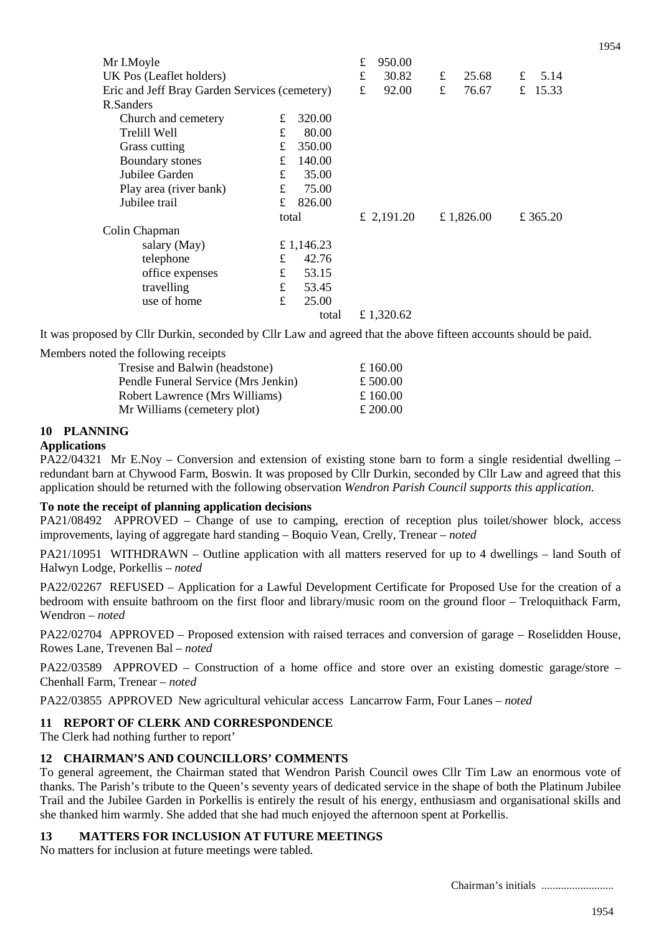| Mr I.Moyle                                    |       |            | £         | 950.00     |   |            |   |          |
|-----------------------------------------------|-------|------------|-----------|------------|---|------------|---|----------|
| UK Pos (Leaflet holders)                      |       |            | £         | 30.82      | £ | 25.68      | £ | 5.14     |
| Eric and Jeff Bray Garden Services (cemetery) |       |            | $\pounds$ | 92.00      | £ | 76.67      | £ | 15.33    |
| R.Sanders                                     |       |            |           |            |   |            |   |          |
| Church and cemetery                           | £     | 320.00     |           |            |   |            |   |          |
| Trelill Well                                  | £     | 80.00      |           |            |   |            |   |          |
| Grass cutting                                 | £     | 350.00     |           |            |   |            |   |          |
| Boundary stones                               | £     | 140.00     |           |            |   |            |   |          |
| Jubilee Garden                                | £     | 35.00      |           |            |   |            |   |          |
| Play area (river bank)                        | £     | 75.00      |           |            |   |            |   |          |
| Jubilee trail                                 | £     | 826.00     |           |            |   |            |   |          |
|                                               | total |            |           | £ 2,191.20 |   | £ 1,826.00 |   | £ 365.20 |
| Colin Chapman                                 |       |            |           |            |   |            |   |          |
| salary (May)                                  |       | £ 1,146.23 |           |            |   |            |   |          |
| telephone                                     | £     | 42.76      |           |            |   |            |   |          |
| office expenses                               | £     | 53.15      |           |            |   |            |   |          |
| travelling                                    | £     | 53.45      |           |            |   |            |   |          |
| use of home                                   | £     | 25.00      |           |            |   |            |   |          |
|                                               |       | total      |           | £ 1,320.62 |   |            |   |          |

It was proposed by Cllr Durkin, seconded by Cllr Law and agreed that the above fifteen accounts should be paid.

Members noted the following receipts

| £ 160.00 |
|----------|
|          |
| £ 500.00 |
| £ 160.00 |
| £ 200.00 |
|          |

# **10 PLANNING**

# **Applications**

PA22/04321 Mr E.Noy – Conversion and extension of existing stone barn to form a single residential dwelling – redundant barn at Chywood Farm, Boswin. It was proposed by Cllr Durkin, seconded by Cllr Law and agreed that this application should be returned with the following observation *Wendron Parish Council supports this application.*

# **To note the receipt of planning application decisions**

PA21/08492 APPROVED – Change of use to camping, erection of reception plus toilet/shower block, access improvements, laying of aggregate hard standing – Boquio Vean, Crelly, Trenear – *noted*

PA21/10951 WITHDRAWN – Outline application with all matters reserved for up to 4 dwellings – land South of Halwyn Lodge, Porkellis – *noted*

PA22/02267 REFUSED – Application for a Lawful Development Certificate for Proposed Use for the creation of a bedroom with ensuite bathroom on the first floor and library/music room on the ground floor – Treloquithack Farm, Wendron – *noted*

PA22/02704 APPROVED – Proposed extension with raised terraces and conversion of garage – Roselidden House, Rowes Lane, Trevenen Bal – *noted*

PA22/03589 APPROVED – Construction of a home office and store over an existing domestic garage/store – Chenhall Farm, Trenear – *noted*

PA22/03855 APPROVED New agricultural vehicular access Lancarrow Farm, Four Lanes – *noted*

# **11 REPORT OF CLERK AND CORRESPONDENCE**

The Clerk had nothing further to report'

# **12 CHAIRMAN'S AND COUNCILLORS' COMMENTS**

To general agreement, the Chairman stated that Wendron Parish Council owes Cllr Tim Law an enormous vote of thanks. The Parish's tribute to the Queen's seventy years of dedicated service in the shape of both the Platinum Jubilee Trail and the Jubilee Garden in Porkellis is entirely the result of his energy, enthusiasm and organisational skills and she thanked him warmly. She added that she had much enjoyed the afternoon spent at Porkellis.

# **13 MATTERS FOR INCLUSION AT FUTURE MEETINGS**

No matters for inclusion at future meetings were tabled.